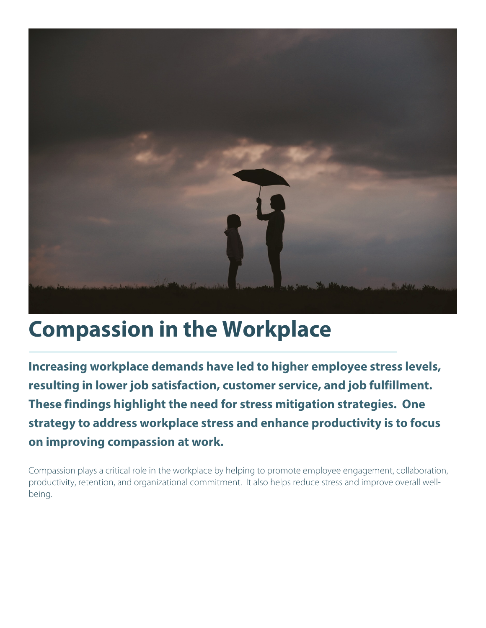

## **Compassion in the Workplace**

**Increasing workplace demands have led to higher employee stress levels, resulting in lower job satisfaction, customer service, and job fulfillment. These findings highlight the need for stress mitigation strategies. One strategy to address workplace stress and enhance productivity is to focus on improving compassion at work.**

Compassion plays a critical role in the workplace by helping to promote employee engagement, collaboration, productivity, retention, and organizational commitment. It also helps reduce stress and improve overall wellbeing.